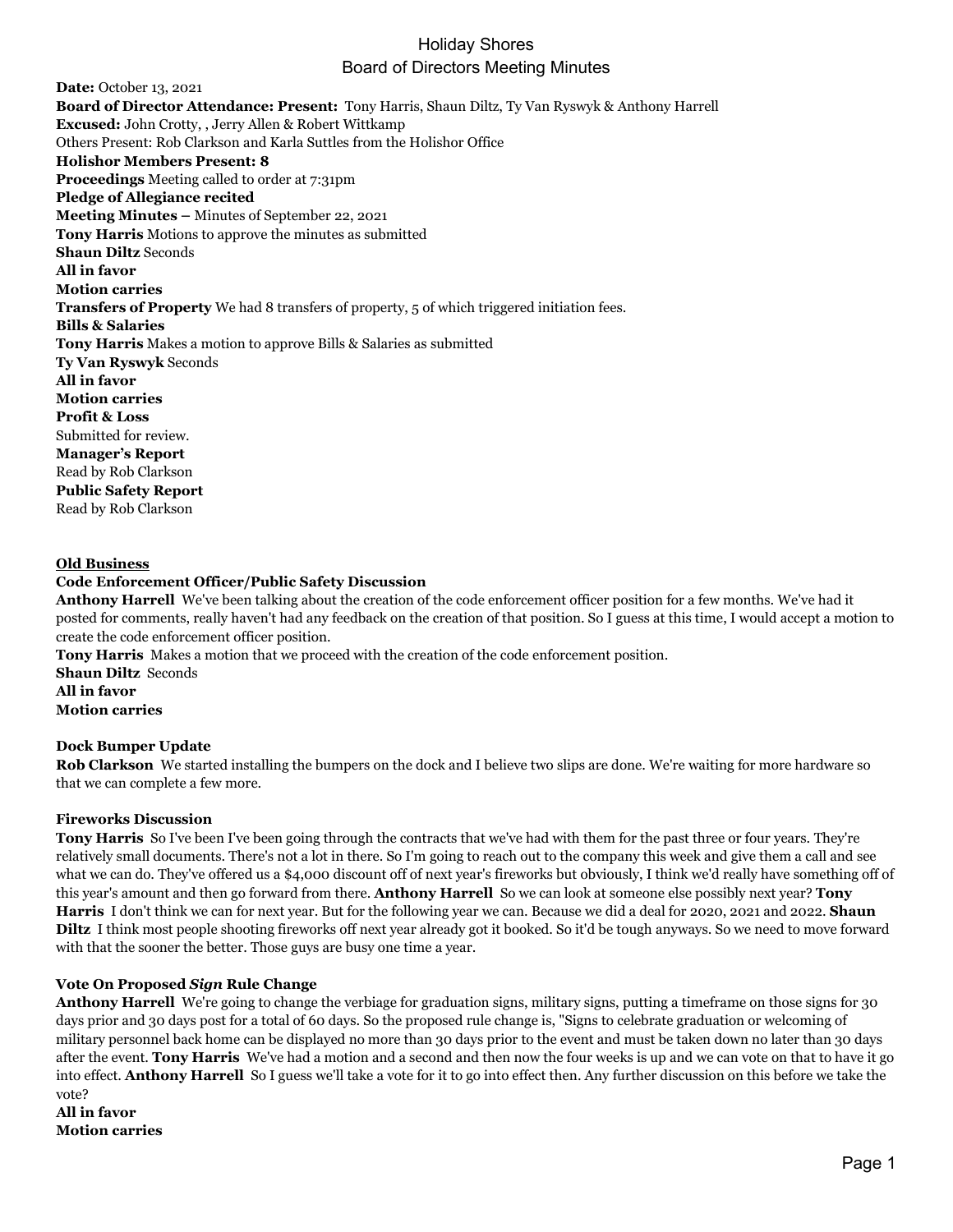**Date:** October 13, 2021 **Board of Director Attendance: Present:** Tony Harris, Shaun Diltz, Ty Van Ryswyk & Anthony Harrell **Excused:** John Crotty, , Jerry Allen & Robert Wittkamp Others Present: Rob Clarkson and Karla Suttles from the Holishor Office **Holishor Members Present: 8 Proceedings** Meeting called to order at 7:31pm **Pledge of Allegiance recited Meeting Minutes –** Minutes of September 22, 2021 **Tony Harris** Motions to approve the minutes as submitted **Shaun Diltz** Seconds **All in favor Motion carries Transfers of Property** We had 8 transfers of property, 5 of which triggered initiation fees. **Bills & Salaries Tony Harris** Makes a motion to approve Bills & Salaries as submitted **Ty Van Ryswyk** Seconds **All in favor Motion carries Profit & Loss** Submitted for review. **Manager's Report** Read by Rob Clarkson **Public Safety Report** Read by Rob Clarkson

#### **Old Business**

#### **Code Enforcement Officer/Public Safety Discussion**

**Anthony Harrell** We've been talking about the creation of the code enforcement officer position for a few months. We've had it posted for comments, really haven't had any feedback on the creation of that position. So I guess at this time, I would accept a motion to create the code enforcement officer position.

**Tony Harris** Makes a motion that we proceed with the creation of the code enforcement position. **Shaun Diltz** Seconds **All in favor Motion carries**

#### **Dock Bumper Update**

**Rob Clarkson** We started installing the bumpers on the dock and I believe two slips are done. We're waiting for more hardware so that we can complete a few more.

#### **Fireworks Discussion**

**Tony Harris** So I've been I've been going through the contracts that we've had with them for the past three or four years. They're relatively small documents. There's not a lot in there. So I'm going to reach out to the company this week and give them a call and see what we can do. They've offered us a \$4,000 discount off of next year's fireworks but obviously, I think we'd really have something off of this year's amount and then go forward from there. **Anthony Harrell** So we can look at someone else possibly next year? **Tony Harris** I don't think we can for next year. But for the following year we can. Because we did a deal for 2020, 2021 and 2022. **Shaun Diltz** I think most people shooting fireworks off next year already got it booked. So it'd be tough anyways. So we need to move forward with that the sooner the better. Those guys are busy one time a year.

#### **Vote On Proposed** *Sign* **Rule Change**

**Anthony Harrell** We're going to change the verbiage for graduation signs, military signs, putting a timeframe on those signs for 30 days prior and 30 days post for a total of 60 days. So the proposed rule change is, "Signs to celebrate graduation or welcoming of military personnel back home can be displayed no more than 30 days prior to the event and must be taken down no later than 30 days after the event. **Tony Harris** We've had a motion and a second and then now the four weeks is up and we can vote on that to have it go into effect. **Anthony Harrell** So I guess we'll take a vote for it to go into effect then. Any further discussion on this before we take the vote?

**All in favor Motion carries**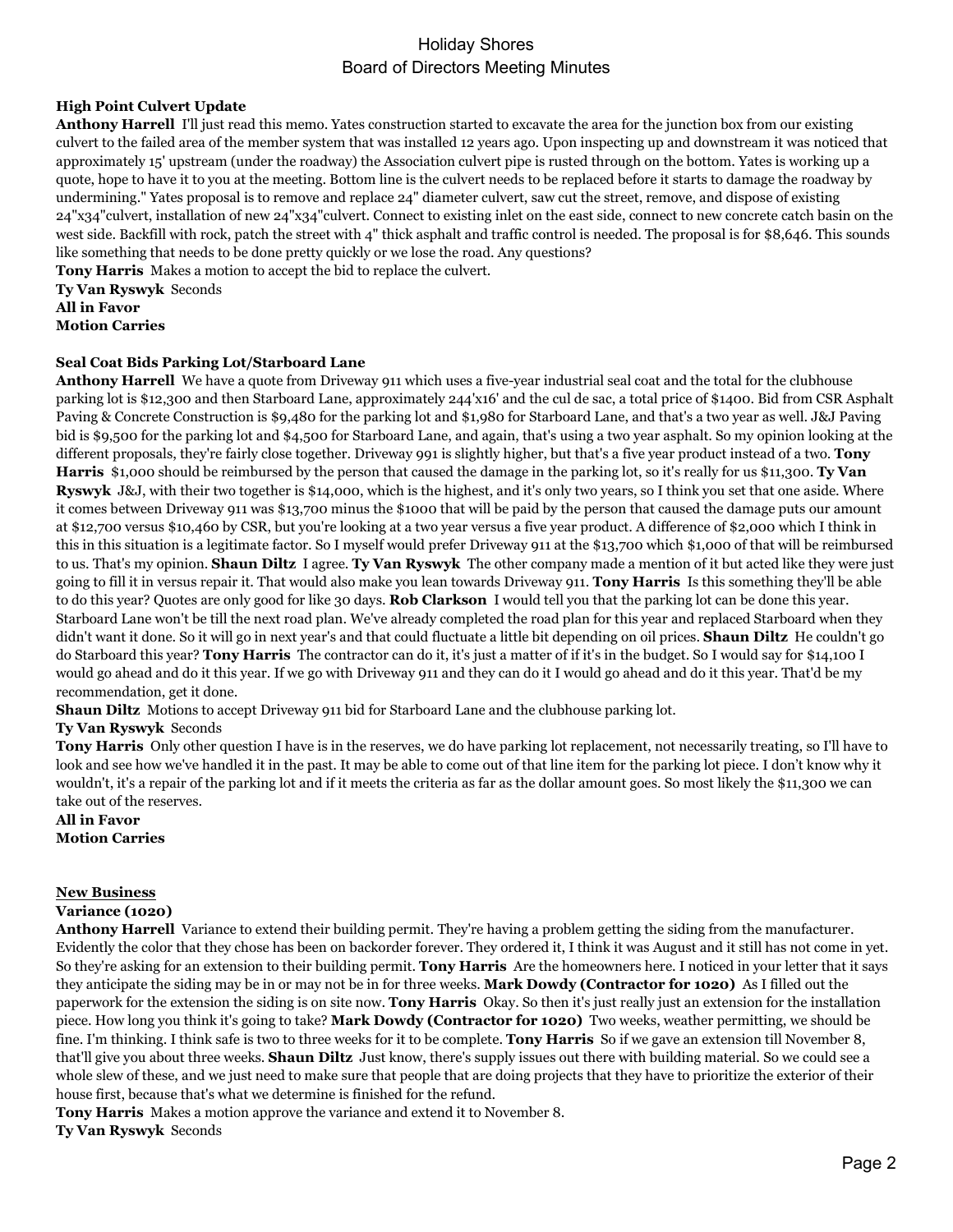## **High Point Culvert Update**

**Anthony Harrell** I'll just read this memo. Yates construction started to excavate the area for the junction box from our existing culvert to the failed area of the member system that was installed 12 years ago. Upon inspecting up and downstream it was noticed that approximately 15' upstream (under the roadway) the Association culvert pipe is rusted through on the bottom. Yates is working up a quote, hope to have it to you at the meeting. Bottom line is the culvert needs to be replaced before it starts to damage the roadway by undermining." Yates proposal is to remove and replace 24" diameter culvert, saw cut the street, remove, and dispose of existing 24"x34"culvert, installation of new 24"x34"culvert. Connect to existing inlet on the east side, connect to new concrete catch basin on the west side. Backfill with rock, patch the street with 4" thick asphalt and traffic control is needed. The proposal is for \$8,646. This sounds like something that needs to be done pretty quickly or we lose the road. Any questions?

**Tony Harris** Makes a motion to accept the bid to replace the culvert.

**Ty Van Ryswyk** Seconds **All in Favor Motion Carries**

### **Seal Coat Bids Parking Lot/Starboard Lane**

**Anthony Harrell** We have a quote from Driveway 911 which uses a five-year industrial seal coat and the total for the clubhouse parking lot is \$12,300 and then Starboard Lane, approximately 244'x16' and the cul de sac, a total price of \$1400. Bid from CSR Asphalt Paving & Concrete Construction is \$9,480 for the parking lot and \$1,980 for Starboard Lane, and that's a two year as well. J&J Paving bid is \$9,500 for the parking lot and \$4,500 for Starboard Lane, and again, that's using a two year asphalt. So my opinion looking at the different proposals, they're fairly close together. Driveway 991 is slightly higher, but that's a five year product instead of a two. **Tony Harris** \$1,000 should be reimbursed by the person that caused the damage in the parking lot, so it's really for us \$11,300. **Ty Van Ryswyk** J&J, with their two together is \$14,000, which is the highest, and it's only two years, so I think you set that one aside. Where it comes between Driveway 911 was \$13,700 minus the \$1000 that will be paid by the person that caused the damage puts our amount at \$12,700 versus \$10,460 by CSR, but you're looking at a two year versus a five year product. A difference of \$2,000 which I think in this in this situation is a legitimate factor. So I myself would prefer Driveway 911 at the \$13,700 which \$1,000 of that will be reimbursed to us. That's my opinion. **Shaun Diltz** I agree. **Ty Van Ryswyk** The other company made a mention of it but acted like they were just going to fill it in versus repair it. That would also make you lean towards Driveway 911. **Tony Harris** Is this something they'll be able to do this year? Quotes are only good for like 30 days. **Rob Clarkson** I would tell you that the parking lot can be done this year. Starboard Lane won't be till the next road plan. We've already completed the road plan for this year and replaced Starboard when they didn't want it done. So it will go in next year's and that could fluctuate a little bit depending on oil prices. **Shaun Diltz** He couldn't go do Starboard this year? **Tony Harris** The contractor can do it, it's just a matter of if it's in the budget. So I would say for \$14,100 I would go ahead and do it this year. If we go with Driveway 911 and they can do it I would go ahead and do it this year. That'd be my recommendation, get it done.

**Shaun Diltz** Motions to accept Driveway 911 bid for Starboard Lane and the clubhouse parking lot.

## **Ty Van Ryswyk** Seconds

**Tony Harris** Only other question I have is in the reserves, we do have parking lot replacement, not necessarily treating, so I'll have to look and see how we've handled it in the past. It may be able to come out of that line item for the parking lot piece. I don't know why it wouldn't, it's a repair of the parking lot and if it meets the criteria as far as the dollar amount goes. So most likely the \$11,300 we can take out of the reserves.

#### **All in Favor Motion Carries**

### **New Business**

## **Variance (1020)**

**Anthony Harrell** Variance to extend their building permit. They're having a problem getting the siding from the manufacturer. Evidently the color that they chose has been on backorder forever. They ordered it, I think it was August and it still has not come in yet. So they're asking for an extension to their building permit. **Tony Harris** Are the homeowners here. I noticed in your letter that it says they anticipate the siding may be in or may not be in for three weeks. **Mark Dowdy (Contractor for 1020)** As I filled out the paperwork for the extension the siding is on site now. **Tony Harris** Okay. So then it's just really just an extension for the installation piece. How long you think it's going to take? **Mark Dowdy (Contractor for 1020)** Two weeks, weather permitting, we should be fine. I'm thinking. I think safe is two to three weeks for it to be complete. **Tony Harris** So if we gave an extension till November 8, that'll give you about three weeks. **Shaun Diltz** Just know, there's supply issues out there with building material. So we could see a whole slew of these, and we just need to make sure that people that are doing projects that they have to prioritize the exterior of their house first, because that's what we determine is finished for the refund.

**Tony Harris** Makes a motion approve the variance and extend it to November 8.

**Ty Van Ryswyk** Seconds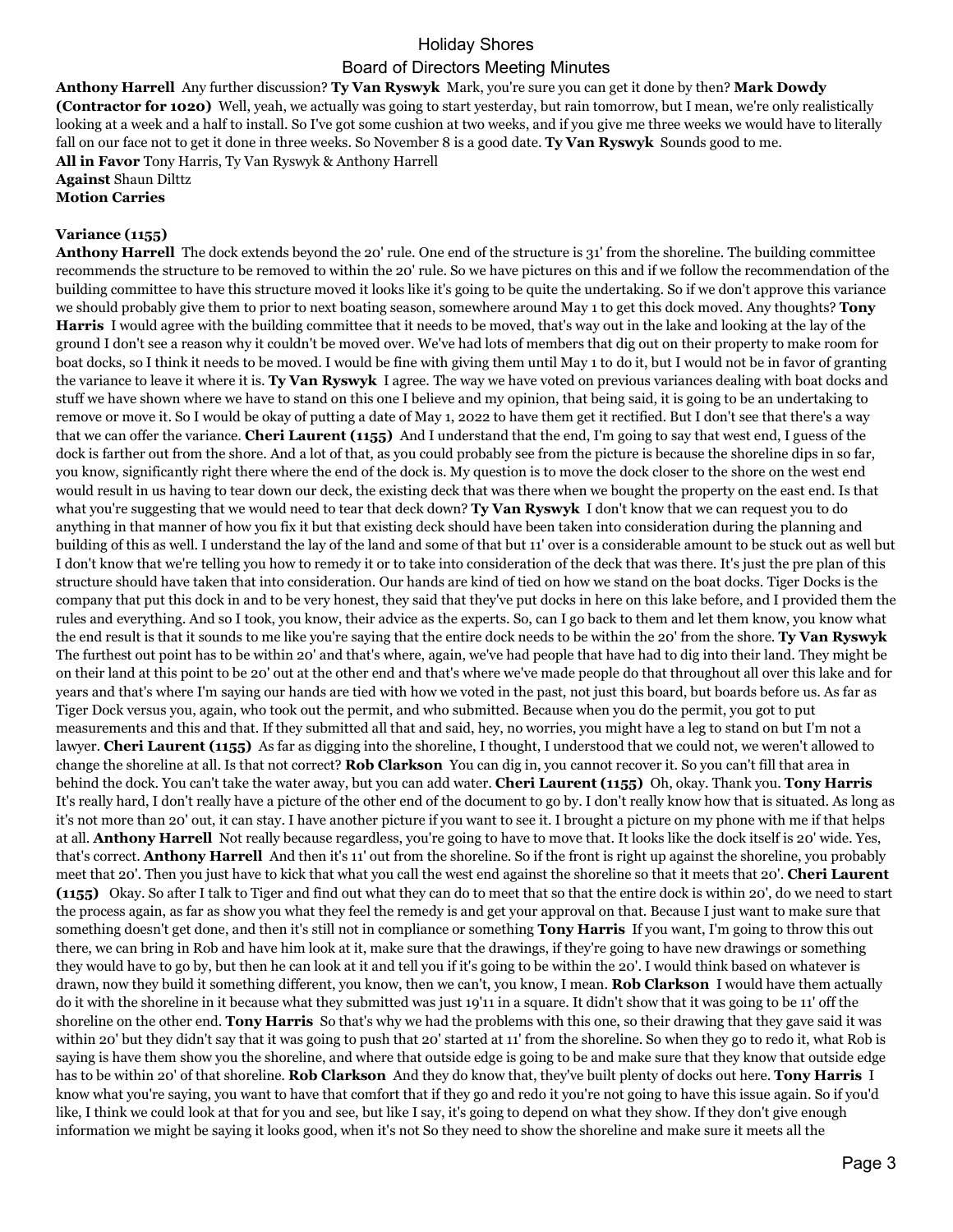**Anthony Harrell** Any further discussion? **Ty Van Ryswyk** Mark, you're sure you can get it done by then? **Mark Dowdy (Contractor for 1020)** Well, yeah, we actually was going to start yesterday, but rain tomorrow, but I mean, we're only realistically looking at a week and a half to install. So I've got some cushion at two weeks, and if you give me three weeks we would have to literally fall on our face not to get it done in three weeks. So November 8 is a good date. **Ty Van Ryswyk** Sounds good to me. **All in Favor** Tony Harris, Ty Van Ryswyk & Anthony Harrell **Against** Shaun Dilttz

**Motion Carries**

#### **Variance (1155)**

**Anthony Harrell** The dock extends beyond the 20' rule. One end of the structure is 31' from the shoreline. The building committee recommends the structure to be removed to within the 20' rule. So we have pictures on this and if we follow the recommendation of the building committee to have this structure moved it looks like it's going to be quite the undertaking. So if we don't approve this variance we should probably give them to prior to next boating season, somewhere around May 1 to get this dock moved. Any thoughts? **Tony Harris** I would agree with the building committee that it needs to be moved, that's way out in the lake and looking at the lay of the ground I don't see a reason why it couldn't be moved over. We've had lots of members that dig out on their property to make room for boat docks, so I think it needs to be moved. I would be fine with giving them until May 1 to do it, but I would not be in favor of granting the variance to leave it where it is. **Ty Van Ryswyk** I agree. The way we have voted on previous variances dealing with boat docks and stuff we have shown where we have to stand on this one I believe and my opinion, that being said, it is going to be an undertaking to remove or move it. So I would be okay of putting a date of May 1, 2022 to have them get it rectified. But I don't see that there's a way that we can offer the variance. **Cheri Laurent (1155)** And I understand that the end, I'm going to say that west end, I guess of the dock is farther out from the shore. And a lot of that, as you could probably see from the picture is because the shoreline dips in so far, you know, significantly right there where the end of the dock is. My question is to move the dock closer to the shore on the west end would result in us having to tear down our deck, the existing deck that was there when we bought the property on the east end. Is that what you're suggesting that we would need to tear that deck down? **Ty Van Ryswyk** I don't know that we can request you to do anything in that manner of how you fix it but that existing deck should have been taken into consideration during the planning and building of this as well. I understand the lay of the land and some of that but 11' over is a considerable amount to be stuck out as well but I don't know that we're telling you how to remedy it or to take into consideration of the deck that was there. It's just the pre plan of this structure should have taken that into consideration. Our hands are kind of tied on how we stand on the boat docks. Tiger Docks is the company that put this dock in and to be very honest, they said that they've put docks in here on this lake before, and I provided them the rules and everything. And so I took, you know, their advice as the experts. So, can I go back to them and let them know, you know what the end result is that it sounds to me like you're saying that the entire dock needs to be within the 20' from the shore. **Ty Van Ryswyk**  The furthest out point has to be within 20' and that's where, again, we've had people that have had to dig into their land. They might be on their land at this point to be 20' out at the other end and that's where we've made people do that throughout all over this lake and for years and that's where I'm saying our hands are tied with how we voted in the past, not just this board, but boards before us. As far as Tiger Dock versus you, again, who took out the permit, and who submitted. Because when you do the permit, you got to put measurements and this and that. If they submitted all that and said, hey, no worries, you might have a leg to stand on but I'm not a lawyer. **Cheri Laurent (1155)** As far as digging into the shoreline, I thought, I understood that we could not, we weren't allowed to change the shoreline at all. Is that not correct? **Rob Clarkson** You can dig in, you cannot recover it. So you can't fill that area in behind the dock. You can't take the water away, but you can add water. **Cheri Laurent (1155)** Oh, okay. Thank you. **Tony Harris**  It's really hard, I don't really have a picture of the other end of the document to go by. I don't really know how that is situated. As long as it's not more than 20' out, it can stay. I have another picture if you want to see it. I brought a picture on my phone with me if that helps at all. **Anthony Harrell** Not really because regardless, you're going to have to move that. It looks like the dock itself is 20' wide. Yes, that's correct. **Anthony Harrell** And then it's 11' out from the shoreline. So if the front is right up against the shoreline, you probably meet that 20'. Then you just have to kick that what you call the west end against the shoreline so that it meets that 20'. **Cheri Laurent (1155)** Okay. So after I talk to Tiger and find out what they can do to meet that so that the entire dock is within 20', do we need to start the process again, as far as show you what they feel the remedy is and get your approval on that. Because I just want to make sure that something doesn't get done, and then it's still not in compliance or something **Tony Harris** If you want, I'm going to throw this out there, we can bring in Rob and have him look at it, make sure that the drawings, if they're going to have new drawings or something they would have to go by, but then he can look at it and tell you if it's going to be within the 20'. I would think based on whatever is drawn, now they build it something different, you know, then we can't, you know, I mean. **Rob Clarkson** I would have them actually do it with the shoreline in it because what they submitted was just 19'11 in a square. It didn't show that it was going to be 11' off the shoreline on the other end. **Tony Harris** So that's why we had the problems with this one, so their drawing that they gave said it was within 20' but they didn't say that it was going to push that 20' started at 11' from the shoreline. So when they go to redo it, what Rob is saying is have them show you the shoreline, and where that outside edge is going to be and make sure that they know that outside edge has to be within 20' of that shoreline. **Rob Clarkson** And they do know that, they've built plenty of docks out here. **Tony Harris** I know what you're saying, you want to have that comfort that if they go and redo it you're not going to have this issue again. So if you'd like, I think we could look at that for you and see, but like I say, it's going to depend on what they show. If they don't give enough information we might be saying it looks good, when it's not So they need to show the shoreline and make sure it meets all the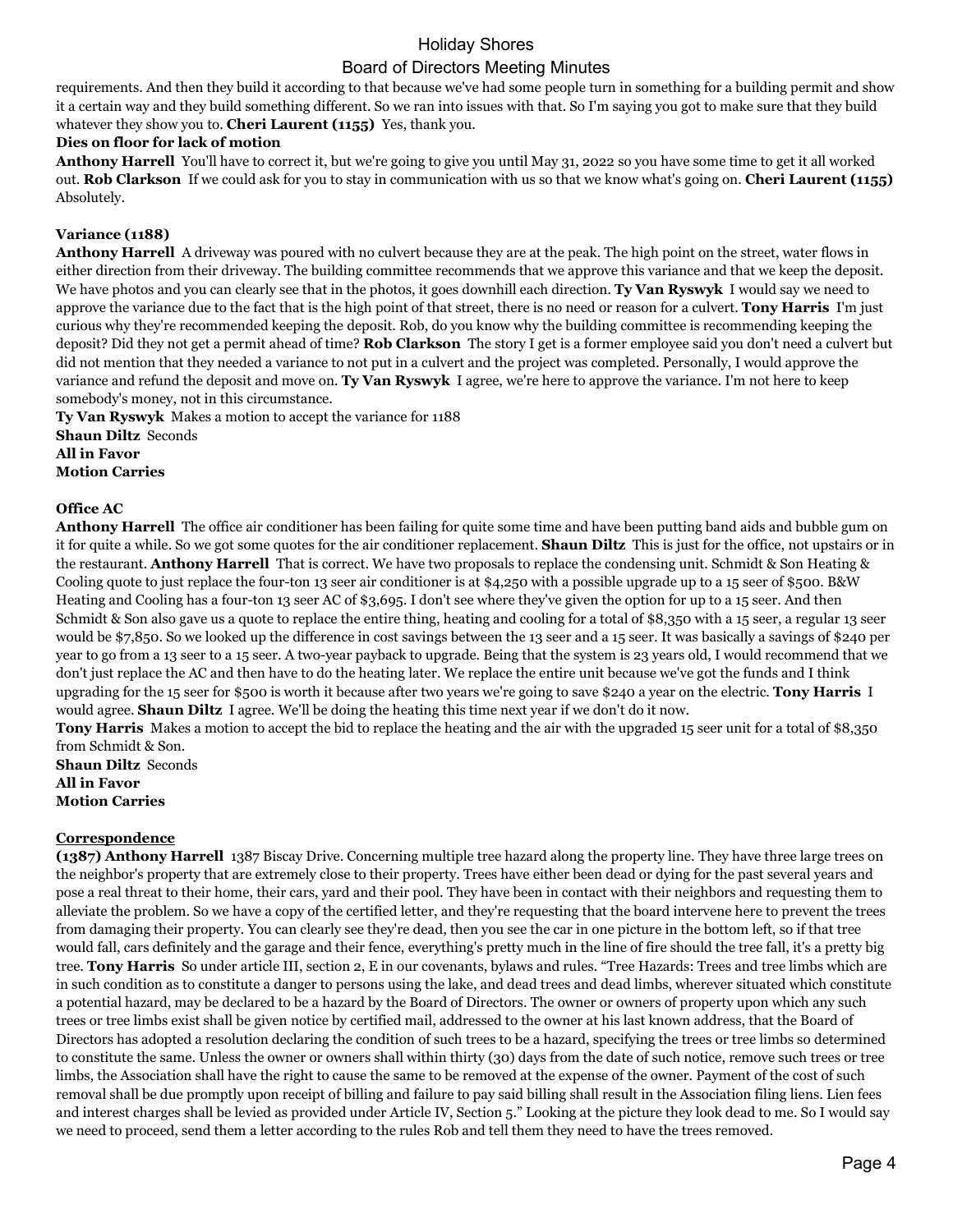requirements. And then they build it according to that because we've had some people turn in something for a building permit and show it a certain way and they build something different. So we ran into issues with that. So I'm saying you got to make sure that they build whatever they show you to. **Cheri Laurent (1155)** Yes, thank you.

### **Dies on floor for lack of motion**

**Anthony Harrell** You'll have to correct it, but we're going to give you until May 31, 2022 so you have some time to get it all worked out. **Rob Clarkson** If we could ask for you to stay in communication with us so that we know what's going on. **Cheri Laurent (1155)**  Absolutely.

### **Variance (1188)**

**Anthony Harrell** A driveway was poured with no culvert because they are at the peak. The high point on the street, water flows in either direction from their driveway. The building committee recommends that we approve this variance and that we keep the deposit. We have photos and you can clearly see that in the photos, it goes downhill each direction. **Ty Van Ryswyk** I would say we need to approve the variance due to the fact that is the high point of that street, there is no need or reason for a culvert. **Tony Harris** I'm just curious why they're recommended keeping the deposit. Rob, do you know why the building committee is recommending keeping the deposit? Did they not get a permit ahead of time? **Rob Clarkson** The story I get is a former employee said you don't need a culvert but did not mention that they needed a variance to not put in a culvert and the project was completed. Personally, I would approve the variance and refund the deposit and move on. **Ty Van Ryswyk** I agree, we're here to approve the variance. I'm not here to keep somebody's money, not in this circumstance.

**Ty Van Ryswyk** Makes a motion to accept the variance for 1188 **Shaun Diltz** Seconds **All in Favor Motion Carries**

### **Office AC**

**Anthony Harrell** The office air conditioner has been failing for quite some time and have been putting band aids and bubble gum on it for quite a while. So we got some quotes for the air conditioner replacement. **Shaun Diltz** This is just for the office, not upstairs or in the restaurant. **Anthony Harrell** That is correct. We have two proposals to replace the condensing unit. Schmidt & Son Heating & Cooling quote to just replace the four-ton 13 seer air conditioner is at \$4,250 with a possible upgrade up to a 15 seer of \$500. B&W Heating and Cooling has a four-ton 13 seer AC of \$3,695. I don't see where they've given the option for up to a 15 seer. And then Schmidt & Son also gave us a quote to replace the entire thing, heating and cooling for a total of \$8,350 with a 15 seer, a regular 13 seer would be \$7,850. So we looked up the difference in cost savings between the 13 seer and a 15 seer. It was basically a savings of \$240 per year to go from a 13 seer to a 15 seer. A two-year payback to upgrade. Being that the system is 23 years old, I would recommend that we don't just replace the AC and then have to do the heating later. We replace the entire unit because we've got the funds and I think upgrading for the 15 seer for \$500 is worth it because after two years we're going to save \$240 a year on the electric. **Tony Harris** I would agree. **Shaun Diltz** I agree. We'll be doing the heating this time next year if we don't do it now.

**Tony Harris** Makes a motion to accept the bid to replace the heating and the air with the upgraded 15 seer unit for a total of \$8,350 from Schmidt & Son.

**Shaun Diltz** Seconds **All in Favor Motion Carries**

### **Correspondence**

**(1387) Anthony Harrell** 1387 Biscay Drive. Concerning multiple tree hazard along the property line. They have three large trees on the neighbor's property that are extremely close to their property. Trees have either been dead or dying for the past several years and pose a real threat to their home, their cars, yard and their pool. They have been in contact with their neighbors and requesting them to alleviate the problem. So we have a copy of the certified letter, and they're requesting that the board intervene here to prevent the trees from damaging their property. You can clearly see they're dead, then you see the car in one picture in the bottom left, so if that tree would fall, cars definitely and the garage and their fence, everything's pretty much in the line of fire should the tree fall, it's a pretty big tree. **Tony Harris** So under article III, section 2, E in our covenants, bylaws and rules. "Tree Hazards: Trees and tree limbs which are in such condition as to constitute a danger to persons using the lake, and dead trees and dead limbs, wherever situated which constitute a potential hazard, may be declared to be a hazard by the Board of Directors. The owner or owners of property upon which any such trees or tree limbs exist shall be given notice by certified mail, addressed to the owner at his last known address, that the Board of Directors has adopted a resolution declaring the condition of such trees to be a hazard, specifying the trees or tree limbs so determined to constitute the same. Unless the owner or owners shall within thirty (30) days from the date of such notice, remove such trees or tree limbs, the Association shall have the right to cause the same to be removed at the expense of the owner. Payment of the cost of such removal shall be due promptly upon receipt of billing and failure to pay said billing shall result in the Association filing liens. Lien fees and interest charges shall be levied as provided under Article IV, Section 5." Looking at the picture they look dead to me. So I would say we need to proceed, send them a letter according to the rules Rob and tell them they need to have the trees removed.